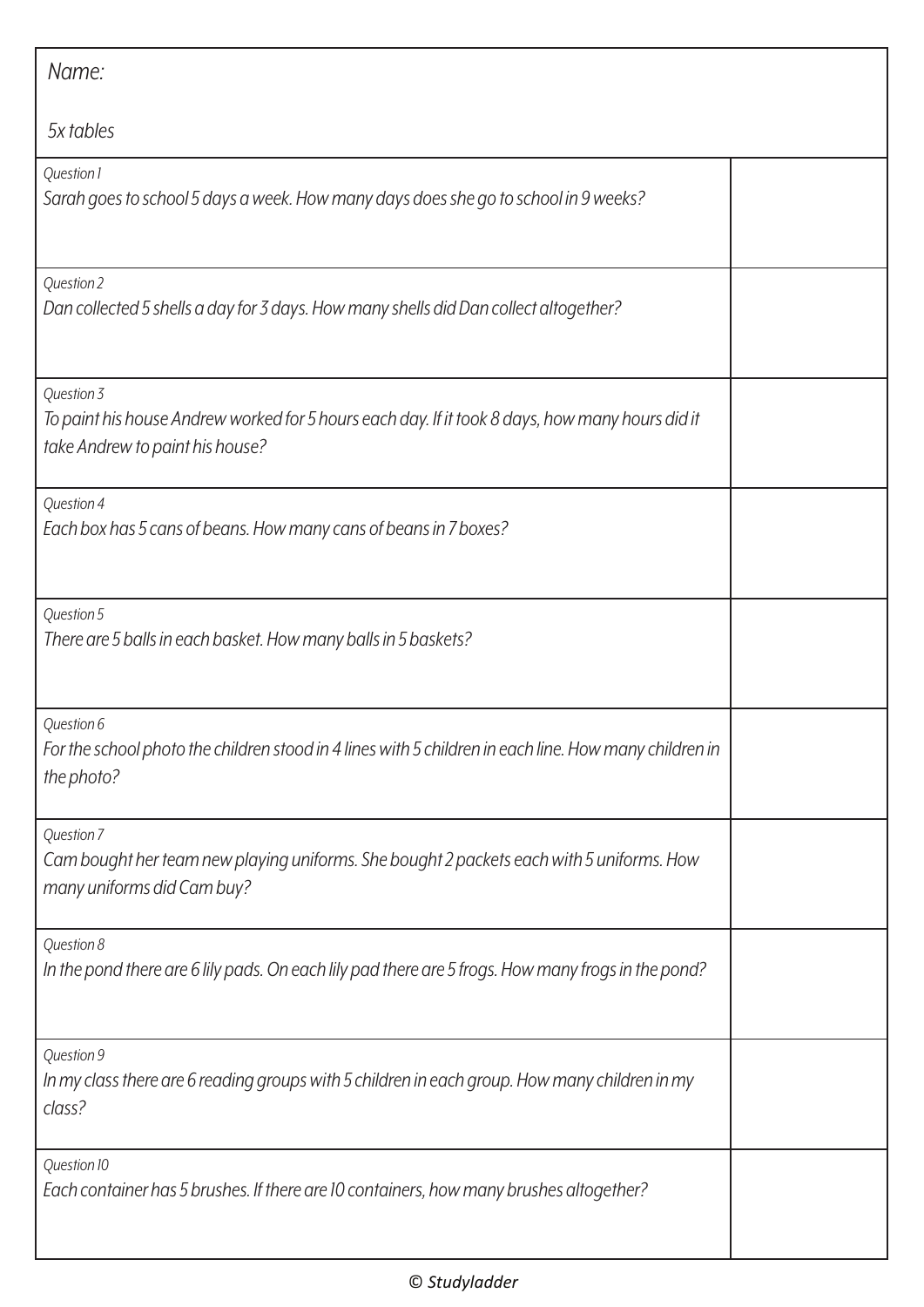| Name:                                                                                                                                            |  |
|--------------------------------------------------------------------------------------------------------------------------------------------------|--|
| 5x tables                                                                                                                                        |  |
| Question 1<br>Sarah goes to school 5 days a week. How many days does she go to school in 9 weeks?                                                |  |
| Question 2<br>Dan collected 5 shells a day for 3 days. How many shells did Dan collect altogether?                                               |  |
| Question 3<br>To paint his house Andrew worked for 5 hours each day. If it took 8 days, how many hours did it<br>take Andrew to paint his house? |  |
| Question 4<br>Each box has 5 cans of beans. How many cans of beans in 7 boxes?                                                                   |  |
| Question 5<br>There are 5 balls in each basket. How many balls in 5 baskets?                                                                     |  |
| Question 6<br>For the school photo the children stood in 4 lines with 5 children in each line. How many children in<br>the photo?                |  |
| Question 7<br>Cam bought her team new playing uniforms. She bought 2 packets each with 5 uniforms. How<br>many uniforms did Cam buy?             |  |
| Question 8<br>In the pond there are 6 lily pads. On each lily pad there are 5 frogs. How many frogs in the pond?                                 |  |
| Question 9<br>In my class there are 6 reading groups with 5 children in each group. How many children in my<br>class?                            |  |
| Question 10<br>Each container has 5 brushes. If there are 10 containers, how many brushes altogether?                                            |  |